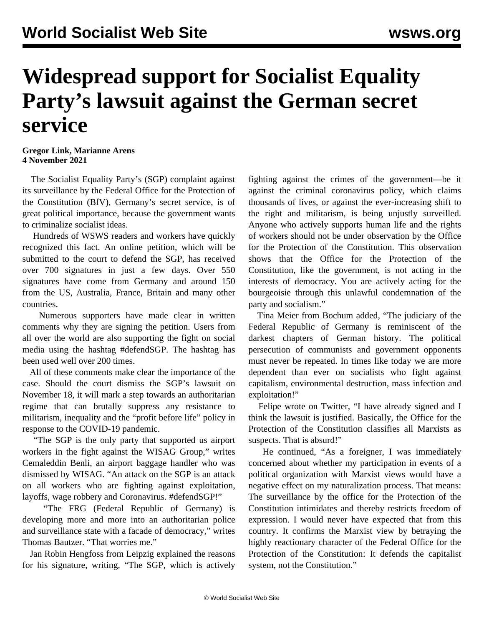## **Widespread support for Socialist Equality Party's lawsuit against the German secret service**

## **Gregor Link, Marianne Arens 4 November 2021**

 The Socialist Equality Party's (SGP) complaint against its surveillance by the Federal Office for the Protection of the Constitution (BfV), Germany's secret service, is of great political importance, because the government wants to criminalize socialist ideas.

 Hundreds of WSWS readers and workers have quickly recognized this fact. An [online petition](https://www.change.org/p/bundesinnenministerium-keine-neuen-sozialistengesetze-stoppt-die-geheimdienstliche-%C3%BCberwachung-der-sgp/c), which will be submitted to the court to defend the SGP, has received over 700 signatures in just a few days. Over 550 signatures have come from Germany and around 150 from the US, Australia, France, Britain and many other countries.

 Numerous supporters have made clear in written comments why they are signing the petition. Users from all over the world are also supporting the fight on social media using the hashtag #defendSGP. The hashtag has been used well over 200 times.

 All of these comments make clear the importance of the case. Should the court dismiss the SGP's lawsuit on November 18, it will mark a step towards an authoritarian regime that can brutally suppress any resistance to militarism, inequality and the "profit before life" policy in response to the COVID-19 pandemic.

 "The SGP is the only party that supported us airport workers in the fight against the WISAG Group," writes Cemaleddin Benli, an airport baggage handler who was dismissed by WISAG. "An attack on the SGP is an attack on all workers who are fighting against exploitation, layoffs, wage robbery and Coronavirus. #defendSGP!"

 "The FRG (Federal Republic of Germany) is developing more and more into an authoritarian police and surveillance state with a facade of democracy," writes Thomas Bautzer. "That worries me."

 Jan Robin Hengfoss from Leipzig explained the reasons for his signature, writing, "The SGP, which is actively fighting against the crimes of the government—be it against the criminal coronavirus policy, which claims thousands of lives, or against the ever-increasing shift to the right and militarism, is being unjustly surveilled. Anyone who actively supports human life and the rights of workers should not be under observation by the Office for the Protection of the Constitution. This observation shows that the Office for the Protection of the Constitution, like the government, is not acting in the interests of democracy. You are actively acting for the bourgeoisie through this unlawful condemnation of the party and socialism."

 Tina Meier from Bochum added, "The judiciary of the Federal Republic of Germany is reminiscent of the darkest chapters of German history. The political persecution of communists and government opponents must never be repeated. In times like today we are more dependent than ever on socialists who fight against capitalism, environmental destruction, mass infection and exploitation!"

 Felipe wrote on Twitter, "I have already signed and I think the lawsuit is justified. Basically, the Office for the Protection of the Constitution classifies all Marxists as suspects. That is absurd!"

 He continued, "As a foreigner, I was immediately concerned about whether my participation in events of a political organization with Marxist views would have a negative effect on my naturalization process. That means: The surveillance by the office for the Protection of the Constitution intimidates and thereby restricts freedom of expression. I would never have expected that from this country. It confirms the Marxist view by betraying the highly reactionary character of the Federal Office for the Protection of the Constitution: It defends the capitalist system, not the Constitution."